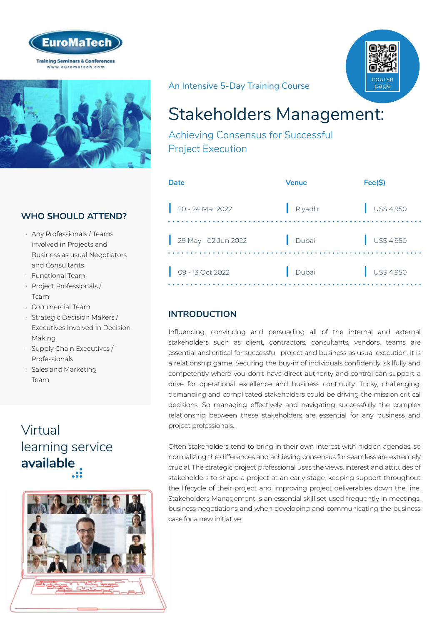



# WHO SHOULD ATTEND?

- Any Professionals / Teams involved in Projects and Business as usual Negotiators and Consultants
- Functional Team
- Project Professionals / Team
- Commercial Team
- Strategic Decision Makers / Executives involved in Decision Making
- Supply Chain Executives / Professionals
- Sales and Marketing Team

# Virtual [learning service](https://www.euromatech.com/seminars/stakeholders-managementachieving-consensus-for-successful-project-execution/)  **available**



# An Intensive 5-Day Training Course



# Stakeholders Management:

Achieving Consensus for Successful Project Execution

| Date                 | <b>Venue</b> | Fee(S)                   |
|----------------------|--------------|--------------------------|
| $20 - 24$ Mar 2022   | Riyadh       | US\$ 4,950               |
| 29 May - 02 Jun 2022 | Dubai        | $\frac{1}{2}$ US\$ 4,950 |
| 09 - 13 Oct 2022     | Dubai        | $\bigcup$ US\$ 4,950     |

# **INTRODUCTION**

Influencing, convincing and persuading all of the internal and external stakeholders such as client, contractors, consultants, vendors, teams are essential and critical for successful project and business as usual execution. It is a relationship game. Securing the buy-in of individuals confidently, skilfully and competently where you don't have direct authority and control can support a drive for operational excellence and business continuity. Tricky, challenging, demanding and complicated stakeholders could be driving the mission critical decisions. So managing effectively and navigating successfully the complex relationship between these stakeholders are essential for any business and project professionals.

Often stakeholders tend to bring in their own interest with hidden agendas, so normalizing the differences and achieving consensus for seamless are extremely crucial. The strategic project professional uses the views, interest and attitudes of stakeholders to shape a project at an early stage, keeping support throughout the lifecycle of their project and improving project deliverables down the line. Stakeholders Management is an essential skill set used frequently in meetings, business negotiations and when developing and communicating the business case for a new initiative.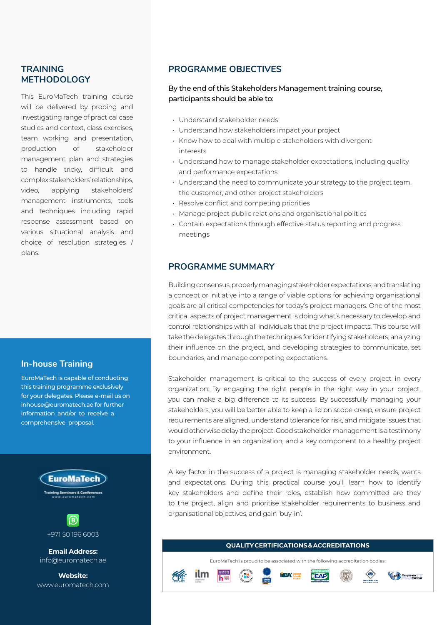### **TRAINING METHODOLOGY**

This EuroMaTech training course will be delivered by probing and investigating range of practical case studies and context, class exercises, team working and presentation, production of stakeholder management plan and strategies to handle tricky, difficult and complex stakeholders' relationships, video, applying stakeholders' management instruments, tools and techniques including rapid response assessment based on various situational analysis and choice of resolution strategies / plans.

### **In-house Training**

EuroMaTech is capable of conducting this training programme exclusively for your delegates. Please e-mail us on inhouse@euromatech.ae for further information and/or to receive a comprehensive proposal.



#### **PROGRAMME OBJECTIVES**

#### By the end of this Stakeholders Management training course, participants should be able to:

- Understand stakeholder needs
- Understand how stakeholders impact your project
- Know how to deal with multiple stakeholders with divergent interests
- Understand how to manage stakeholder expectations, including quality and performance expectations
- Understand the need to communicate your strategy to the project team, the customer, and other project stakeholders
- Resolve conflict and competing priorities
- Manage project public relations and organisational politics
- Contain expectations through effective status reporting and progress meetings

#### **PROGRAMME SUMMARY**

Building consensus, properly managing stakeholder expectations, and translating a concept or initiative into a range of viable options for achieving organisational goals are all critical competencies for today's project managers. One of the most critical aspects of project management is doing what's necessary to develop and control relationships with all individuals that the project impacts. This course will take the delegates through the techniques for identifying stakeholders, analyzing their influence on the project, and developing strategies to communicate, set boundaries, and manage competing expectations.

Stakeholder management is critical to the success of every project in every organization. By engaging the right people in the right way in your project, you can make a big difference to its success. By successfully managing your stakeholders, you will be better able to keep a lid on scope creep, ensure project requirements are aligned, understand tolerance for risk, and mitigate issues that would otherwise delay the project. Good stakeholder management is a testimony to your influence in an organization, and a key component to a healthy project environment.

A key factor in the success of a project is managing stakeholder needs, wants and expectations. During this practical course you'll learn how to identify key stakeholders and define their roles, establish how committed are they to the project, align and prioritise stakeholder requirements to business and organisational objectives, and gain 'buy-in'.



EuroMaTech is proud to be associated with the following accreditation bodies:





Corporate Partner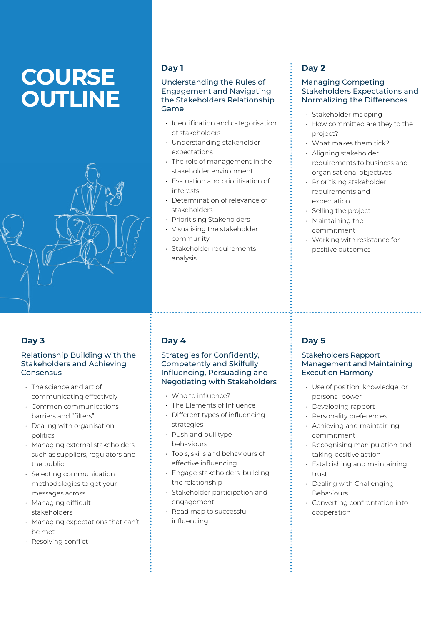# **COURSE OUTLINE**



### **Day 3**

#### Relationship Building with the Stakeholders and Achieving Consensus

- The science and art of communicating effectively
- Common communications barriers and "filters"
- Dealing with organisation politics
- Managing external stakeholders such as suppliers, regulators and the public
- Selecting communication methodologies to get your messages across
- Managing difficult stakeholders
- Managing expectations that can't be met
- Resolving conflict

## **Day 1**

#### Understanding the Rules of Engagement and Navigating the Stakeholders Relationship Game

- Identification and categorisation of stakeholders
- Understanding stakeholder expectations
- The role of management in the stakeholder environment
- Evaluation and prioritisation of interests
- Determination of relevance of stakeholders
- Prioritising Stakeholders
- Visualising the stakeholder community
- Stakeholder requirements analysis

# **Day 2**

#### Managing Competing Stakeholders Expectations and Normalizing the Differences

- Stakeholder mapping
- How committed are they to the project?
- What makes them tick?
- Aligning stakeholder
- requirements to business and organisational objectives
- Prioritising stakeholder requirements and expectation
- Selling the project
- Maintaining the commitment
- Working with resistance for positive outcomes

# **Day 4**

#### Strategies for Confidently, Competently and Skilfully Influencing, Persuading and Negotiating with Stakeholders

- Who to influence?
- The Elements of Influence
- Different types of influencing strategies
- Push and pull type behaviours
- Tools, skills and behaviours of effective influencing
- Engage stakeholders: building the relationship
- Stakeholder participation and engagement
- Road map to successful influencing

# **Day 5**

#### Stakeholders Rapport Management and Maintaining Execution Harmony

- Use of position, knowledge, or personal power
- Developing rapport
- Personality preferences
- Achieving and maintaining commitment
- Recognising manipulation and taking positive action
- Establishing and maintaining trust
- Dealing with Challenging Behaviours
- Converting confrontation into cooperation